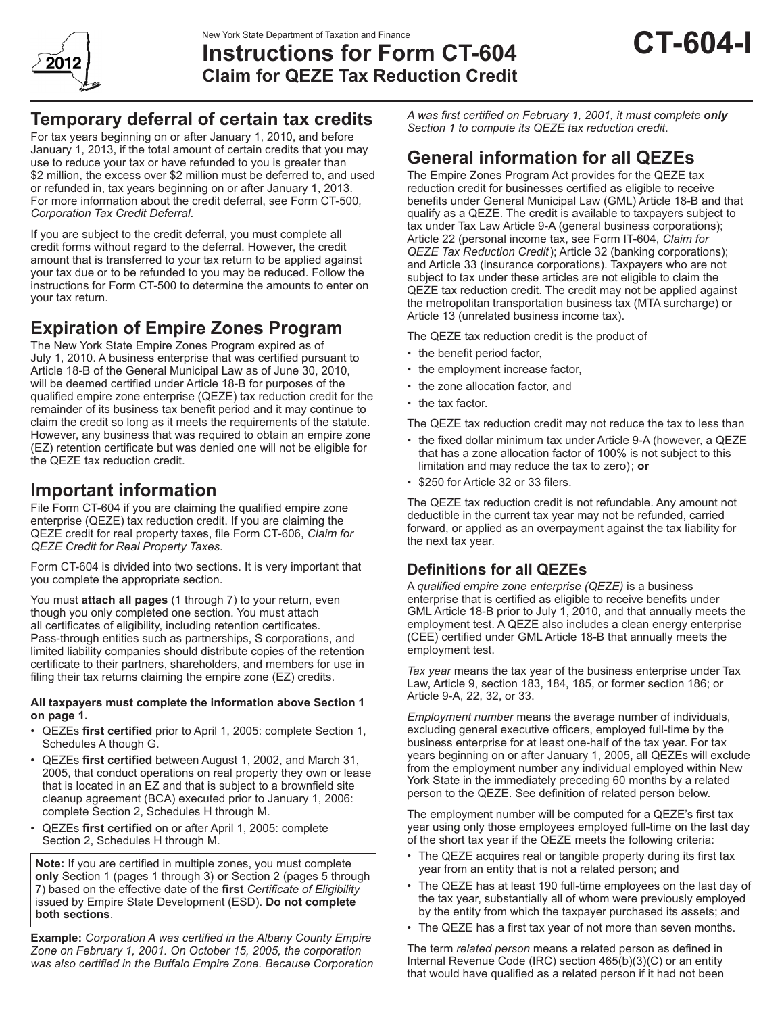

# **Instructions for Form CT-604 Claim for QEZE Tax Reduction Credit**

# **Temporary deferral of certain tax credits**

For tax years beginning on or after January 1, 2010, and before January 1, 2013, if the total amount of certain credits that you may use to reduce your tax or have refunded to you is greater than \$2 million, the excess over \$2 million must be deferred to, and used or refunded in, tax years beginning on or after January 1, 2013. For more information about the credit deferral, see Form CT-500*, Corporation Tax Credit Deferral*.

If you are subject to the credit deferral, you must complete all credit forms without regard to the deferral. However, the credit amount that is transferred to your tax return to be applied against your tax due or to be refunded to you may be reduced. Follow the instructions for Form CT-500 to determine the amounts to enter on your tax return.

# **Expiration of Empire Zones Program**

The New York State Empire Zones Program expired as of July 1, 2010. A business enterprise that was certified pursuant to Article 18-B of the General Municipal Law as of June 30, 2010, will be deemed certified under Article 18-B for purposes of the qualified empire zone enterprise (QEZE) tax reduction credit for the remainder of its business tax benefit period and it may continue to claim the credit so long as it meets the requirements of the statute. However, any business that was required to obtain an empire zone (EZ) retention certificate but was denied one will not be eligible for the QEZE tax reduction credit.

# **Important information**

File Form CT-604 if you are claiming the qualified empire zone enterprise (QEZE) tax reduction credit. If you are claiming the QEZE credit for real property taxes, file Form CT-606, *Claim for QEZE Credit for Real Property Taxes*.

Form CT-604 is divided into two sections. It is very important that you complete the appropriate section.

You must **attach all pages** (1 through 7) to your return, even though you only completed one section. You must attach all certificates of eligibility, including retention certificates. Pass-through entities such as partnerships, S corporations, and limited liability companies should distribute copies of the retention certificate to their partners, shareholders, and members for use in filing their tax returns claiming the empire zone (EZ) credits.

#### **All taxpayers must complete the information above Section 1 on page 1.**

- QEZEs **first certified** prior to April 1, 2005: complete Section 1, Schedules A though G.
- QEZEs **first certified** between August 1, 2002, and March 31, 2005, that conduct operations on real property they own or lease that is located in an EZ and that is subject to a brownfield site cleanup agreement (BCA) executed prior to January 1, 2006: complete Section 2, Schedules H through M.
- QEZEs **first certified** on or after April 1, 2005: complete Section 2, Schedules H through M.

**Note:** If you are certified in multiple zones, you must complete **only** Section 1 (pages 1 through 3) **or** Section 2 (pages 5 through 7) based on the effective date of the **first** *Certificate of Eligibility*  issued by Empire State Development (ESD). **Do not complete both sections**.

**Example:** *Corporation A was certified in the Albany County Empire Zone on February 1, 2001. On October 15, 2005, the corporation was also certified in the Buffalo Empire Zone. Because Corporation*  *A was first certified on February 1, 2001, it must complete only Section 1 to compute its QEZE tax reduction credit*.

# **General information for all QEZEs**

The Empire Zones Program Act provides for the QEZE tax reduction credit for businesses certified as eligible to receive benefits under General Municipal Law (GML) Article 18-B and that qualify as a QEZE. The credit is available to taxpayers subject to tax under Tax Law Article 9‑A (general business corporations); Article 22 (personal income tax, see Form IT-604, *Claim for QEZE Tax Reduction Credit*); Article 32 (banking corporations); and Article 33 (insurance corporations). Taxpayers who are not subject to tax under these articles are not eligible to claim the QEZE tax reduction credit. The credit may not be applied against the metropolitan transportation business tax (MTA surcharge) or Article 13 (unrelated business income tax).

The QEZE tax reduction credit is the product of

- the benefit period factor,
- the employment increase factor,
- the zone allocation factor, and
- the tax factor.

The QEZE tax reduction credit may not reduce the tax to less than

- the fixed dollar minimum tax under Article 9-A (however, a QEZE that has a zone allocation factor of 100% is not subject to this limitation and may reduce the tax to zero); **or**
- \$250 for Article 32 or 33 filers.

The QEZE tax reduction credit is not refundable. Any amount not deductible in the current tax year may not be refunded, carried forward, or applied as an overpayment against the tax liability for the next tax year.

# **Definitions for all QEZEs**

A *qualified empire zone enterprise (QEZE)* is a business enterprise that is certified as eligible to receive benefits under GML Article 18-B prior to July 1, 2010, and that annually meets the employment test. A QEZE also includes a clean energy enterprise (CEE) certified under GML Article 18-B that annually meets the employment test.

*Tax year* means the tax year of the business enterprise under Tax Law, Article 9, section 183, 184, 185, or former section 186; or Article 9-A, 22, 32, or 33.

*Employment number* means the average number of individuals, excluding general executive officers, employed full-time by the business enterprise for at least one-half of the tax year. For tax years beginning on or after January 1, 2005, all QEZEs will exclude from the employment number any individual employed within New York State in the immediately preceding 60 months by a related person to the QEZE. See definition of related person below.

The employment number will be computed for a QEZE's first tax year using only those employees employed full-time on the last day of the short tax year if the QEZE meets the following criteria:

- The QEZE acquires real or tangible property during its first tax year from an entity that is not a related person; and
- The QEZE has at least 190 full-time employees on the last day of the tax year, substantially all of whom were previously employed by the entity from which the taxpayer purchased its assets; and
- The QEZE has a first tax year of not more than seven months.

The term *related person* means a related person as defined in Internal Revenue Code (IRC) section 465(b)(3)(C) or an entity that would have qualified as a related person if it had not been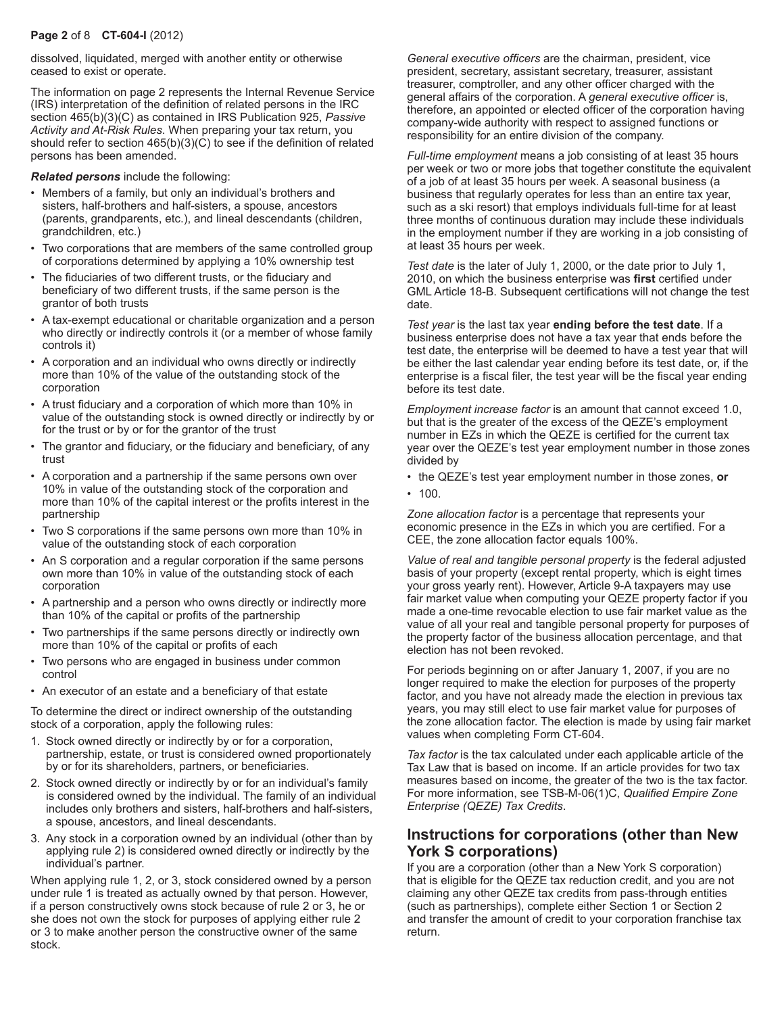### **Page 2** of 8 **CT-604-I** (2012)

dissolved, liquidated, merged with another entity or otherwise ceased to exist or operate.

The information on page 2 represents the Internal Revenue Service (IRS) interpretation of the definition of related persons in the IRC section 465(b)(3)(C) as contained in IRS Publication 925, *Passive Activity and At-Risk Rules*. When preparing your tax return, you should refer to section 465(b)(3)(C) to see if the definition of related persons has been amended.

*Related persons* include the following:

- Members of a family, but only an individual's brothers and sisters, half-brothers and half-sisters, a spouse, ancestors (parents, grandparents, etc.), and lineal descendants (children, grandchildren, etc.)
- Two corporations that are members of the same controlled group of corporations determined by applying a 10% ownership test
- The fiduciaries of two different trusts, or the fiduciary and beneficiary of two different trusts, if the same person is the grantor of both trusts
- A tax-exempt educational or charitable organization and a person who directly or indirectly controls it (or a member of whose family controls it)
- A corporation and an individual who owns directly or indirectly more than 10% of the value of the outstanding stock of the corporation
- A trust fiduciary and a corporation of which more than 10% in value of the outstanding stock is owned directly or indirectly by or for the trust or by or for the grantor of the trust
- The grantor and fiduciary, or the fiduciary and beneficiary, of any trust
- A corporation and a partnership if the same persons own over 10% in value of the outstanding stock of the corporation and more than 10% of the capital interest or the profits interest in the partnership
- Two S corporations if the same persons own more than 10% in value of the outstanding stock of each corporation
- An S corporation and a regular corporation if the same persons own more than 10% in value of the outstanding stock of each corporation
- A partnership and a person who owns directly or indirectly more than 10% of the capital or profits of the partnership
- Two partnerships if the same persons directly or indirectly own more than 10% of the capital or profits of each
- Two persons who are engaged in business under common control
- An executor of an estate and a beneficiary of that estate

To determine the direct or indirect ownership of the outstanding stock of a corporation, apply the following rules:

- 1. Stock owned directly or indirectly by or for a corporation, partnership, estate, or trust is considered owned proportionately by or for its shareholders, partners, or beneficiaries.
- 2. Stock owned directly or indirectly by or for an individual's family is considered owned by the individual. The family of an individual includes only brothers and sisters, half-brothers and half-sisters, a spouse, ancestors, and lineal descendants.
- 3. Any stock in a corporation owned by an individual (other than by applying rule 2) is considered owned directly or indirectly by the individual's partner.

When applying rule 1, 2, or 3, stock considered owned by a person under rule 1 is treated as actually owned by that person. However, if a person constructively owns stock because of rule 2 or 3, he or she does not own the stock for purposes of applying either rule 2 or 3 to make another person the constructive owner of the same stock.

*General executive officers* are the chairman, president, vice president, secretary, assistant secretary, treasurer, assistant treasurer, comptroller, and any other officer charged with the general affairs of the corporation. A *general executive officer* is, therefore, an appointed or elected officer of the corporation having company-wide authority with respect to assigned functions or responsibility for an entire division of the company.

*Full‑time employment* means a job consisting of at least 35 hours per week or two or more jobs that together constitute the equivalent of a job of at least 35 hours per week. A seasonal business (a business that regularly operates for less than an entire tax year, such as a ski resort) that employs individuals full-time for at least three months of continuous duration may include these individuals in the employment number if they are working in a job consisting of at least 35 hours per week.

*Test date* is the later of July 1, 2000, or the date prior to July 1, 2010, on which the business enterprise was **first** certified under GML Article 18‑B. Subsequent certifications will not change the test date.

*Test year* is the last tax year **ending before the test date**. If a business enterprise does not have a tax year that ends before the test date, the enterprise will be deemed to have a test year that will be either the last calendar year ending before its test date, or, if the enterprise is a fiscal filer, the test year will be the fiscal year ending before its test date.

*Employment increase factor* is an amount that cannot exceed 1.0, but that is the greater of the excess of the QEZE's employment number in EZs in which the QEZE is certified for the current tax year over the QEZE's test year employment number in those zones divided by

- the QEZE's test year employment number in those zones, **or**
- 100.

*Zone allocation factor* is a percentage that represents your economic presence in the EZs in which you are certified. For a CEE, the zone allocation factor equals 100%.

*Value of real and tangible personal property* is the federal adjusted basis of your property (except rental property, which is eight times your gross yearly rent). However, Article 9-A taxpayers may use fair market value when computing your QEZE property factor if you made a one-time revocable election to use fair market value as the value of all your real and tangible personal property for purposes of the property factor of the business allocation percentage, and that election has not been revoked.

For periods beginning on or after January 1, 2007, if you are no longer required to make the election for purposes of the property factor, and you have not already made the election in previous tax years, you may still elect to use fair market value for purposes of the zone allocation factor. The election is made by using fair market values when completing Form CT-604.

*Tax factor* is the tax calculated under each applicable article of the Tax Law that is based on income. If an article provides for two tax measures based on income, the greater of the two is the tax factor. For more information, see TSB-M-06(1)C, *Qualified Empire Zone Enterprise (QEZE) Tax Credits*.

## **Instructions for corporations (other than New York S corporations)**

If you are a corporation (other than a New York S corporation) that is eligible for the QEZE tax reduction credit, and you are not claiming any other QEZE tax credits from pass-through entities (such as partnerships), complete either Section 1 or Section 2 and transfer the amount of credit to your corporation franchise tax return.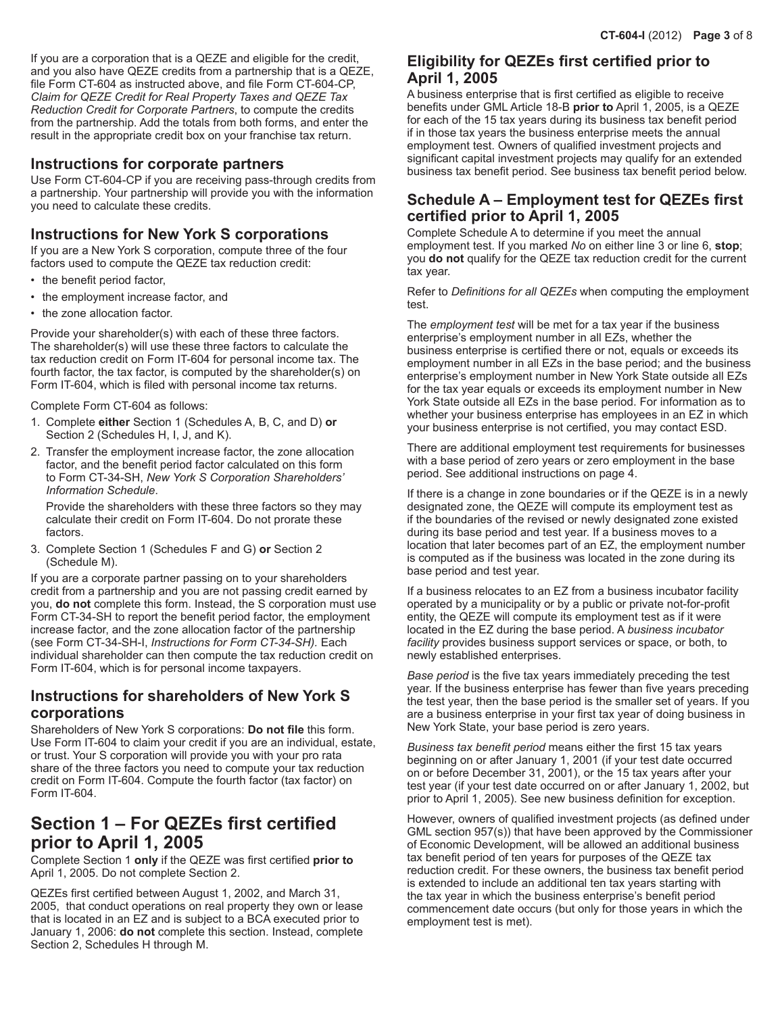If you are a corporation that is a QEZE and eligible for the credit, and you also have QEZE credits from a partnership that is a QEZE, file Form CT-604 as instructed above, and file Form CT-604-CP, *Claim for QEZE Credit for Real Property Taxes and QEZE Tax Reduction Credit for Corporate Partners*, to compute the credits from the partnership. Add the totals from both forms, and enter the result in the appropriate credit box on your franchise tax return.

## **Instructions for corporate partners**

Use Form CT-604-CP if you are receiving pass-through credits from a partnership. Your partnership will provide you with the information you need to calculate these credits.

## **Instructions for New York S corporations**

If you are a New York S corporation, compute three of the four factors used to compute the QEZE tax reduction credit:

- the benefit period factor,
- the employment increase factor, and
- the zone allocation factor.

Provide your shareholder(s) with each of these three factors. The shareholder(s) will use these three factors to calculate the tax reduction credit on Form IT-604 for personal income tax. The fourth factor, the tax factor, is computed by the shareholder(s) on Form IT-604, which is filed with personal income tax returns.

Complete Form CT-604 as follows:

- 1. Complete **either** Section 1 (Schedules A, B, C, and D) **or** Section 2 (Schedules H, I, J, and K).
- 2. Transfer the employment increase factor, the zone allocation factor, and the benefit period factor calculated on this form to Form CT-34-SH, *New York S Corporation Shareholders' Information Schedule*.

Provide the shareholders with these three factors so they may calculate their credit on Form IT-604. Do not prorate these factors.

3. Complete Section 1 (Schedules F and G) **or** Section 2 (Schedule M).

If you are a corporate partner passing on to your shareholders credit from a partnership and you are not passing credit earned by you, **do not** complete this form. Instead, the S corporation must use Form CT-34-SH to report the benefit period factor, the employment increase factor, and the zone allocation factor of the partnership (see Form CT-34-SH-I, *Instructions for Form CT-34-SH).* Each individual shareholder can then compute the tax reduction credit on Form IT-604, which is for personal income taxpayers.

## **Instructions for shareholders of New York S corporations**

Shareholders of New York S corporations: **Do not file** this form. Use Form IT-604 to claim your credit if you are an individual, estate, or trust. Your S corporation will provide you with your pro rata share of the three factors you need to compute your tax reduction credit on Form IT-604. Compute the fourth factor (tax factor) on Form IT-604.

# **Section 1 – For QEZEs first certified prior to April 1, 2005**

Complete Section 1 **only** if the QEZE was first certified **prior to**  April 1, 2005. Do not complete Section 2.

QEZEs first certified between August 1, 2002, and March 31, 2005, that conduct operations on real property they own or lease that is located in an EZ and is subject to a BCA executed prior to January 1, 2006: **do not** complete this section. Instead, complete Section 2, Schedules H through M.

## **Eligibility for QEZEs first certified prior to April 1, 2005**

A business enterprise that is first certified as eligible to receive benefits under GML Article 18‑B **prior to** April 1, 2005, is a QEZE for each of the 15 tax years during its business tax benefit period if in those tax years the business enterprise meets the annual employment test. Owners of qualified investment projects and significant capital investment projects may qualify for an extended business tax benefit period. See business tax benefit period below.

# **Schedule A – Employment test for QEZEs first certified prior to April 1, 2005**

Complete Schedule A to determine if you meet the annual employment test. If you marked *No* on either line 3 or line 6, **stop**; you **do not** qualify for the QEZE tax reduction credit for the current tax year.

Refer to *Definitions for all QEZEs* when computing the employment test.

The *employment test* will be met for a tax year if the business enterprise's employment number in all EZs, whether the business enterprise is certified there or not, equals or exceeds its employment number in all EZs in the base period; and the business enterprise's employment number in New York State outside all EZs for the tax year equals or exceeds its employment number in New York State outside all EZs in the base period. For information as to whether your business enterprise has employees in an EZ in which your business enterprise is not certified, you may contact ESD.

There are additional employment test requirements for businesses with a base period of zero years or zero employment in the base period. See additional instructions on page 4.

If there is a change in zone boundaries or if the QEZE is in a newly designated zone, the QEZE will compute its employment test as if the boundaries of the revised or newly designated zone existed during its base period and test year. If a business moves to a location that later becomes part of an EZ, the employment number is computed as if the business was located in the zone during its base period and test year.

If a business relocates to an EZ from a business incubator facility operated by a municipality or by a public or private not-for-profit entity, the QEZE will compute its employment test as if it were located in the EZ during the base period. A *business incubator facility* provides business support services or space, or both, to newly established enterprises.

*Base period* is the five tax years immediately preceding the test year. If the business enterprise has fewer than five years preceding the test year, then the base period is the smaller set of years. If you are a business enterprise in your first tax year of doing business in New York State, your base period is zero years.

*Business tax benefit period* means either the first 15 tax years beginning on or after January 1, 2001 (if your test date occurred on or before December 31, 2001), or the 15 tax years after your test year (if your test date occurred on or after January 1, 2002, but prior to April 1, 2005). See new business definition for exception.

However, owners of qualified investment projects (as defined under GML section 957(s)) that have been approved by the Commissioner of Economic Development, will be allowed an additional business tax benefit period of ten years for purposes of the QEZE tax reduction credit. For these owners, the business tax benefit period is extended to include an additional ten tax years starting with the tax year in which the business enterprise's benefit period commencement date occurs (but only for those years in which the employment test is met).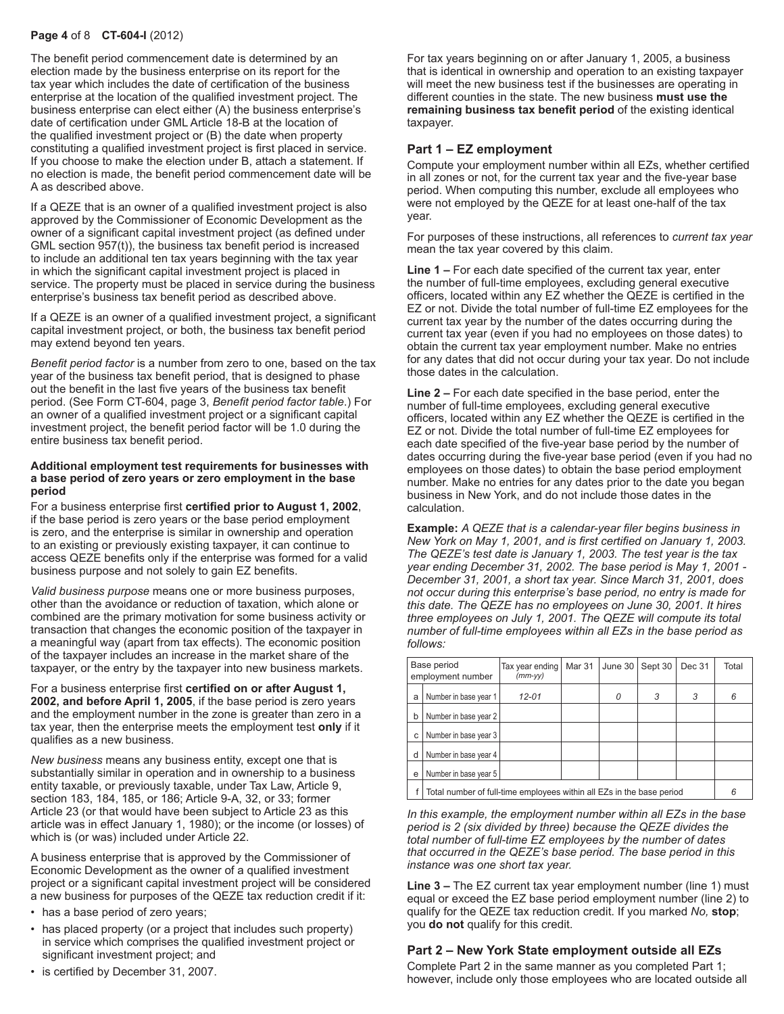### **Page 4** of 8 **CT-604-I** (2012)

The benefit period commencement date is determined by an election made by the business enterprise on its report for the tax year which includes the date of certification of the business enterprise at the location of the qualified investment project. The business enterprise can elect either (A) the business enterprise's date of certification under GML Article 18-B at the location of the qualified investment project or (B) the date when property constituting a qualified investment project is first placed in service. If you choose to make the election under B, attach a statement. If no election is made, the benefit period commencement date will be A as described above.

If a QEZE that is an owner of a qualified investment project is also approved by the Commissioner of Economic Development as the owner of a significant capital investment project (as defined under GML section 957(t)), the business tax benefit period is increased to include an additional ten tax years beginning with the tax year in which the significant capital investment project is placed in service. The property must be placed in service during the business enterprise's business tax benefit period as described above.

If a QEZE is an owner of a qualified investment project, a significant capital investment project, or both, the business tax benefit period may extend beyond ten years.

*Benefit period factor* is a number from zero to one, based on the tax year of the business tax benefit period, that is designed to phase out the benefit in the last five years of the business tax benefit period. (See Form CT-604, page 3, *Benefit period factor table*.) For an owner of a qualified investment project or a significant capital investment project, the benefit period factor will be 1.0 during the entire business tax benefit period.

#### **Additional employment test requirements for businesses with a base period of zero years or zero employment in the base period**

For a business enterprise first **certified prior to August 1, 2002**, if the base period is zero years or the base period employment is zero, and the enterprise is similar in ownership and operation to an existing or previously existing taxpayer, it can continue to access QEZE benefits only if the enterprise was formed for a valid business purpose and not solely to gain EZ benefits.

*Valid business purpose* means one or more business purposes, other than the avoidance or reduction of taxation, which alone or combined are the primary motivation for some business activity or transaction that changes the economic position of the taxpayer in a meaningful way (apart from tax effects). The economic position of the taxpayer includes an increase in the market share of the taxpayer, or the entry by the taxpayer into new business markets.

For a business enterprise first **certified on or after August 1, 2002, and before April 1, 2005**, if the base period is zero years and the employment number in the zone is greater than zero in a tax year, then the enterprise meets the employment test **only** if it qualifies as a new business.

*New business* means any business entity, except one that is substantially similar in operation and in ownership to a business entity taxable, or previously taxable, under Tax Law, Article 9, section 183, 184, 185, or 186; Article 9-A, 32, or 33; former Article 23 (or that would have been subject to Article 23 as this article was in effect January 1, 1980); or the income (or losses) of which is (or was) included under Article 22.

A business enterprise that is approved by the Commissioner of Economic Development as the owner of a qualified investment project or a significant capital investment project will be considered a new business for purposes of the QEZE tax reduction credit if it:

- has a base period of zero years;
- has placed property (or a project that includes such property) in service which comprises the qualified investment project or significant investment project; and
- is certified by December 31, 2007.

For tax years beginning on or after January 1, 2005, a business that is identical in ownership and operation to an existing taxpayer will meet the new business test if the businesses are operating in different counties in the state. The new business **must use the remaining business tax benefit period** of the existing identical taxpayer.

#### **Part 1 – EZ employment**

Compute your employment number within all EZs, whether certified in all zones or not, for the current tax year and the five-year base period. When computing this number, exclude all employees who were not employed by the QEZE for at least one-half of the tax year.

For purposes of these instructions, all references to *current tax year* mean the tax year covered by this claim.

**Line 1 –** For each date specified of the current tax year, enter the number of full-time employees, excluding general executive officers, located within any EZ whether the QEZE is certified in the EZ or not. Divide the total number of full-time EZ employees for the current tax year by the number of the dates occurring during the current tax year (even if you had no employees on those dates) to obtain the current tax year employment number. Make no entries for any dates that did not occur during your tax year. Do not include those dates in the calculation.

**Line 2 –** For each date specified in the base period, enter the number of full-time employees, excluding general executive officers, located within any EZ whether the QEZE is certified in the EZ or not. Divide the total number of full-time EZ employees for each date specified of the five-year base period by the number of dates occurring during the five-year base period (even if you had no employees on those dates) to obtain the base period employment number. Make no entries for any dates prior to the date you began business in New York, and do not include those dates in the calculation.

**Example:** *A QEZE that is a calendar-year filer begins business in New York on May 1, 2001, and is first certified on January 1, 2003. The QEZE's test date is January 1, 2003. The test year is the tax year ending December 31, 2002. The base period is May 1, 2001 - December 31, 2001, a short tax year. Since March 31, 2001, does not occur during this enterprise's base period, no entry is made for this date. The QEZE has no employees on June 30, 2001. It hires three employees on July 1, 2001. The QEZE will compute its total number of full‑time employees within all EZs in the base period as follows:*

| Base period<br>employment number |                                                                       | Tax year ending<br>$(mm-vv)$ | Mar 31 | June 30 | Sept 30 | Dec 31 | Total |  |
|----------------------------------|-----------------------------------------------------------------------|------------------------------|--------|---------|---------|--------|-------|--|
| a                                | Number in base year 1                                                 | $12 - 01$                    |        | Ω       | 3       | 3      | 6     |  |
| b                                | Number in base year 2                                                 |                              |        |         |         |        |       |  |
| c                                | Number in base year 3                                                 |                              |        |         |         |        |       |  |
| d                                | Number in base year 4                                                 |                              |        |         |         |        |       |  |
| e                                | Number in base year 5                                                 |                              |        |         |         |        |       |  |
|                                  | Total number of full-time employees within all EZs in the base period |                              |        |         |         |        |       |  |

*In this example, the employment number within all EZs in the base period is 2 (six divided by three) because the QEZE divides the total number of full-time EZ employees by the number of dates that occurred in the QEZE's base period. The base period in this instance was one short tax year.*

**Line 3 –** The EZ current tax year employment number (line 1) must equal or exceed the EZ base period employment number (line 2) to qualify for the QEZE tax reduction credit. If you marked *No,* **stop**; you **do not** qualify for this credit.

### **Part 2 – New York State employment outside all EZs**

Complete Part 2 in the same manner as you completed Part 1; however, include only those employees who are located outside all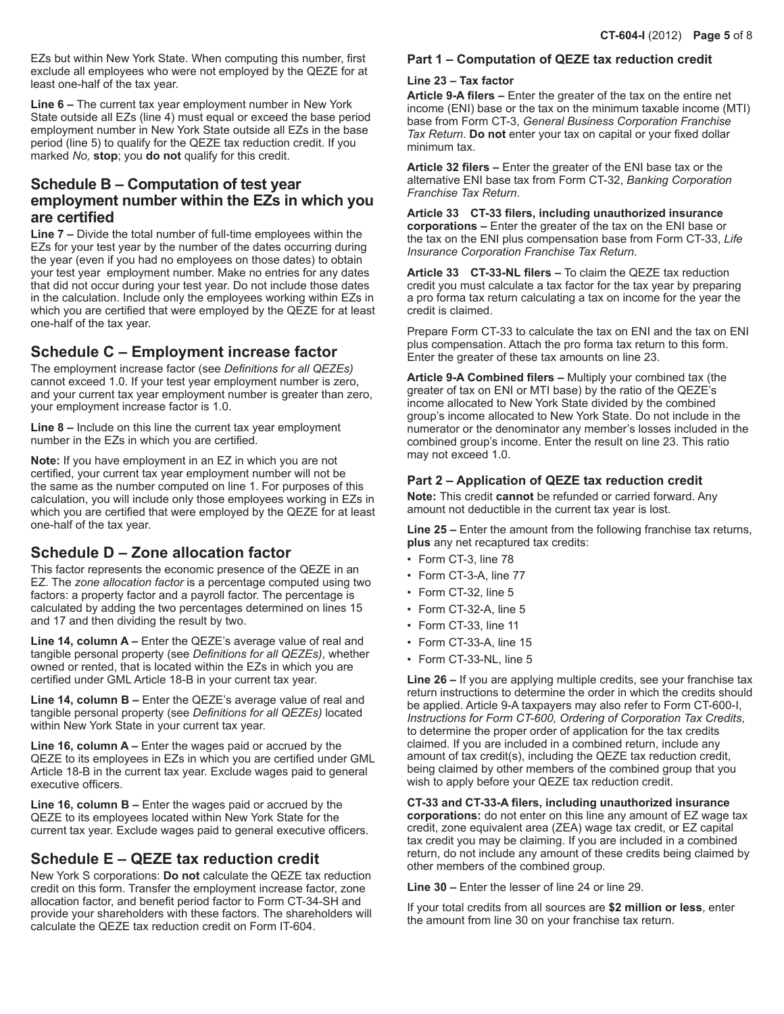EZs but within New York State. When computing this number, first exclude all employees who were not employed by the QEZE for at least one-half of the tax year.

**Line 6 –** The current tax year employment number in New York State outside all EZs (line 4) must equal or exceed the base period employment number in New York State outside all EZs in the base period (line 5) to qualify for the QEZE tax reduction credit. If you marked *No,* **stop**; you **do not** qualify for this credit.

## **Schedule B – Computation of test year employment number within the EZs in which you are certified**

**Line 7 –** Divide the total number of full-time employees within the EZs for your test year by the number of the dates occurring during the year (even if you had no employees on those dates) to obtain your test year employment number. Make no entries for any dates that did not occur during your test year. Do not include those dates in the calculation. Include only the employees working within EZs in which you are certified that were employed by the QEZE for at least one-half of the tax year.

## **Schedule C – Employment increase factor**

The employment increase factor (see *Definitions for all QEZEs)* cannot exceed 1.0. If your test year employment number is zero, and your current tax year employment number is greater than zero, your employment increase factor is 1.0.

**Line 8 –** Include on this line the current tax year employment number in the EZs in which you are certified.

**Note:** If you have employment in an EZ in which you are not certified, your current tax year employment number will not be the same as the number computed on line 1. For purposes of this calculation, you will include only those employees working in EZs in which you are certified that were employed by the QEZE for at least one-half of the tax year.

# **Schedule D – Zone allocation factor**

This factor represents the economic presence of the QEZE in an EZ. The *zone allocation factor* is a percentage computed using two factors: a property factor and a payroll factor. The percentage is calculated by adding the two percentages determined on lines 15 and 17 and then dividing the result by two.

**Line 14, column A –** Enter the QEZE's average value of real and tangible personal property (see *Definitions for all QEZEs)*, whether owned or rented, that is located within the EZs in which you are certified under GML Article 18-B in your current tax year.

**Line 14, column B –** Enter the QEZE's average value of real and tangible personal property (see *Definitions for all QEZEs)* located within New York State in your current tax year.

**Line 16, column A –** Enter the wages paid or accrued by the QEZE to its employees in EZs in which you are certified under GML Article 18-B in the current tax year. Exclude wages paid to general executive officers.

**Line 16, column B –** Enter the wages paid or accrued by the QEZE to its employees located within New York State for the current tax year. Exclude wages paid to general executive officers.

# **Schedule E – QEZE tax reduction credit**

New York S corporations: **Do not** calculate the QEZE tax reduction credit on this form. Transfer the employment increase factor, zone allocation factor, and benefit period factor to Form CT-34-SH and provide your shareholders with these factors. The shareholders will calculate the QEZE tax reduction credit on Form IT‑604.

## **Part 1 – Computation of QEZE tax reduction credit**

## **Line 23 – Tax factor**

**Article 9‑A filers –** Enter the greater of the tax on the entire net income (ENI) base or the tax on the minimum taxable income (MTI) base from Form CT-3, *General Business Corporation Franchise Tax Return*. **Do not** enter your tax on capital or your fixed dollar minimum tax.

**Article 32 filers –** Enter the greater of the ENI base tax or the alternative ENI base tax from Form CT-32, *Banking Corporation Franchise Tax Return*.

**Article 33 CT-33 filers, including unauthorized insurance corporations –** Enter the greater of the tax on the ENI base or the tax on the ENI plus compensation base from Form CT-33, *Life Insurance Corporation Franchise Tax Return*.

**Article 33 CT-33-NL filers –** To claim the QEZE tax reduction credit you must calculate a tax factor for the tax year by preparing a pro forma tax return calculating a tax on income for the year the credit is claimed.

Prepare Form CT-33 to calculate the tax on ENI and the tax on ENI plus compensation. Attach the pro forma tax return to this form. Enter the greater of these tax amounts on line 23.

**Article 9-A Combined filers –** Multiply your combined tax (the greater of tax on ENI or MTI base) by the ratio of the QEZE's income allocated to New York State divided by the combined group's income allocated to New York State. Do not include in the numerator or the denominator any member's losses included in the combined group's income. Enter the result on line 23. This ratio may not exceed 1.0.

### **Part 2 – Application of QEZE tax reduction credit**

**Note:** This credit **cannot** be refunded or carried forward. Any amount not deductible in the current tax year is lost.

**Line 25 –** Enter the amount from the following franchise tax returns, **plus** any net recaptured tax credits:

- Form CT-3, line 78
- Form CT-3-A, line 77
- Form CT-32, line 5
- Form CT-32-A, line 5
- Form CT-33, line 11
- Form CT-33-A, line 15
- Form CT-33-NL, line 5

**Line 26 –** If you are applying multiple credits, see your franchise tax return instructions to determine the order in which the credits should be applied. Article 9-A taxpayers may also refer to Form CT-600-I, *Instructions for Form CT-600, Ordering of Corporation Tax Credits*, to determine the proper order of application for the tax credits claimed. If you are included in a combined return, include any amount of tax credit(s), including the QEZE tax reduction credit, being claimed by other members of the combined group that you wish to apply before your QEZE tax reduction credit.

**CT-33 and CT-33-A filers, including unauthorized insurance corporations:** do not enter on this line any amount of EZ wage tax credit, zone equivalent area (ZEA) wage tax credit, or EZ capital tax credit you may be claiming. If you are included in a combined return, do not include any amount of these credits being claimed by other members of the combined group.

**Line 30 –** Enter the lesser of line 24 or line 29.

If your total credits from all sources are **\$2 million or less**, enter the amount from line 30 on your franchise tax return.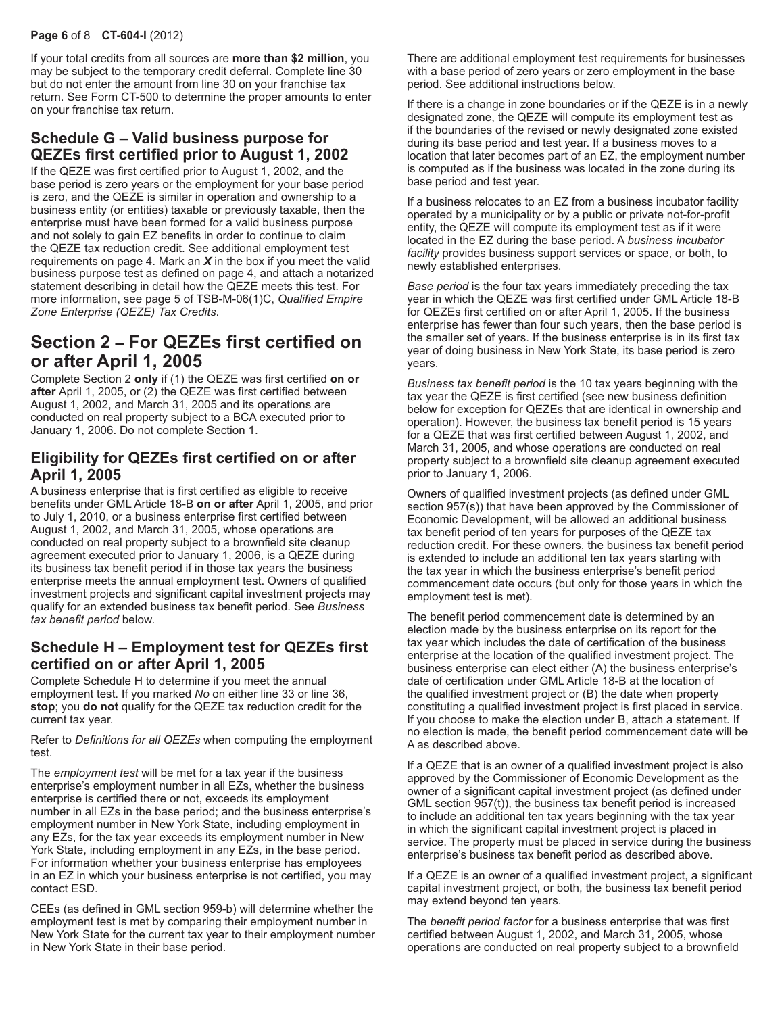### **Page 6** of 8 **CT-604-I** (2012)

If your total credits from all sources are **more than \$2 million**, you may be subject to the temporary credit deferral. Complete line 30 but do not enter the amount from line 30 on your franchise tax return. See Form CT-500 to determine the proper amounts to enter on your franchise tax return.

# **Schedule G – Valid business purpose for QEZEs first certified prior to August 1, 2002**

If the QEZE was first certified prior to August 1, 2002, and the base period is zero years or the employment for your base period is zero, and the QEZE is similar in operation and ownership to a business entity (or entities) taxable or previously taxable, then the enterprise must have been formed for a valid business purpose and not solely to gain EZ benefits in order to continue to claim the QEZE tax reduction credit. See additional employment test requirements on page 4. Mark an *X* in the box if you meet the valid business purpose test as defined on page 4, and attach a notarized statement describing in detail how the QEZE meets this test. For more information, see page 5 of TSB-M-06(1)C, *Qualified Empire Zone Enterprise (QEZE) Tax Credits*.

# **Section 2 – For QEZEs first certified on or after April 1, 2005**

Complete Section 2 **only** if (1) the QEZE was first certified **on or after** April 1, 2005, or (2) the QEZE was first certified between August 1, 2002, and March 31, 2005 and its operations are conducted on real property subject to a BCA executed prior to January 1, 2006. Do not complete Section 1.

## **Eligibility for QEZEs first certified on or after April 1, 2005**

A business enterprise that is first certified as eligible to receive benefits under GML Article 18‑B **on or after** April 1, 2005, and prior to July 1, 2010, or a business enterprise first certified between August 1, 2002, and March 31, 2005, whose operations are conducted on real property subject to a brownfield site cleanup agreement executed prior to January 1, 2006, is a QEZE during its business tax benefit period if in those tax years the business enterprise meets the annual employment test. Owners of qualified investment projects and significant capital investment projects may qualify for an extended business tax benefit period. See *Business tax benefit period* below.

## **Schedule H – Employment test for QEZEs first certified on or after April 1, 2005**

Complete Schedule H to determine if you meet the annual employment test. If you marked *No* on either line 33 or line 36, **stop**; you **do not** qualify for the QEZE tax reduction credit for the current tax year.

Refer to *Definitions for all QEZEs* when computing the employment test.

The *employment test* will be met for a tax year if the business enterprise's employment number in all EZs, whether the business enterprise is certified there or not, exceeds its employment number in all EZs in the base period; and the business enterprise's employment number in New York State, including employment in any EZs, for the tax year exceeds its employment number in New York State, including employment in any EZs, in the base period. For information whether your business enterprise has employees in an EZ in which your business enterprise is not certified, you may contact ESD.

CEEs (as defined in GML section 959-b) will determine whether the employment test is met by comparing their employment number in New York State for the current tax year to their employment number in New York State in their base period.

There are additional employment test requirements for businesses with a base period of zero years or zero employment in the base period. See additional instructions below.

If there is a change in zone boundaries or if the QEZE is in a newly designated zone, the QEZE will compute its employment test as if the boundaries of the revised or newly designated zone existed during its base period and test year. If a business moves to a location that later becomes part of an EZ, the employment number is computed as if the business was located in the zone during its base period and test year.

If a business relocates to an EZ from a business incubator facility operated by a municipality or by a public or private not-for-profit entity, the QEZE will compute its employment test as if it were located in the EZ during the base period. A *business incubator facility* provides business support services or space, or both, to newly established enterprises.

*Base period* is the four tax years immediately preceding the tax year in which the QEZE was first certified under GML Article 18-B for QEZEs first certified on or after April 1, 2005. If the business enterprise has fewer than four such years, then the base period is the smaller set of years. If the business enterprise is in its first tax year of doing business in New York State, its base period is zero years.

*Business tax benefit period* is the 10 tax years beginning with the tax year the QEZE is first certified (see new business definition below for exception for QEZEs that are identical in ownership and operation). However, the business tax benefit period is 15 years for a QEZE that was first certified between August 1, 2002, and March 31, 2005, and whose operations are conducted on real property subject to a brownfield site cleanup agreement executed prior to January 1, 2006.

Owners of qualified investment projects (as defined under GML section 957(s)) that have been approved by the Commissioner of Economic Development, will be allowed an additional business tax benefit period of ten years for purposes of the QEZE tax reduction credit. For these owners, the business tax benefit period is extended to include an additional ten tax years starting with the tax year in which the business enterprise's benefit period commencement date occurs (but only for those years in which the employment test is met).

The benefit period commencement date is determined by an election made by the business enterprise on its report for the tax year which includes the date of certification of the business enterprise at the location of the qualified investment project. The business enterprise can elect either (A) the business enterprise's date of certification under GML Article 18-B at the location of the qualified investment project or (B) the date when property constituting a qualified investment project is first placed in service. If you choose to make the election under B, attach a statement. If no election is made, the benefit period commencement date will be A as described above.

If a QEZE that is an owner of a qualified investment project is also approved by the Commissioner of Economic Development as the owner of a significant capital investment project (as defined under GML section 957(t)), the business tax benefit period is increased to include an additional ten tax years beginning with the tax year in which the significant capital investment project is placed in service. The property must be placed in service during the business enterprise's business tax benefit period as described above.

If a QEZE is an owner of a qualified investment project, a significant capital investment project, or both, the business tax benefit period may extend beyond ten years.

The *benefit period factor* for a business enterprise that was first certified between August 1, 2002, and March 31, 2005, whose operations are conducted on real property subject to a brownfield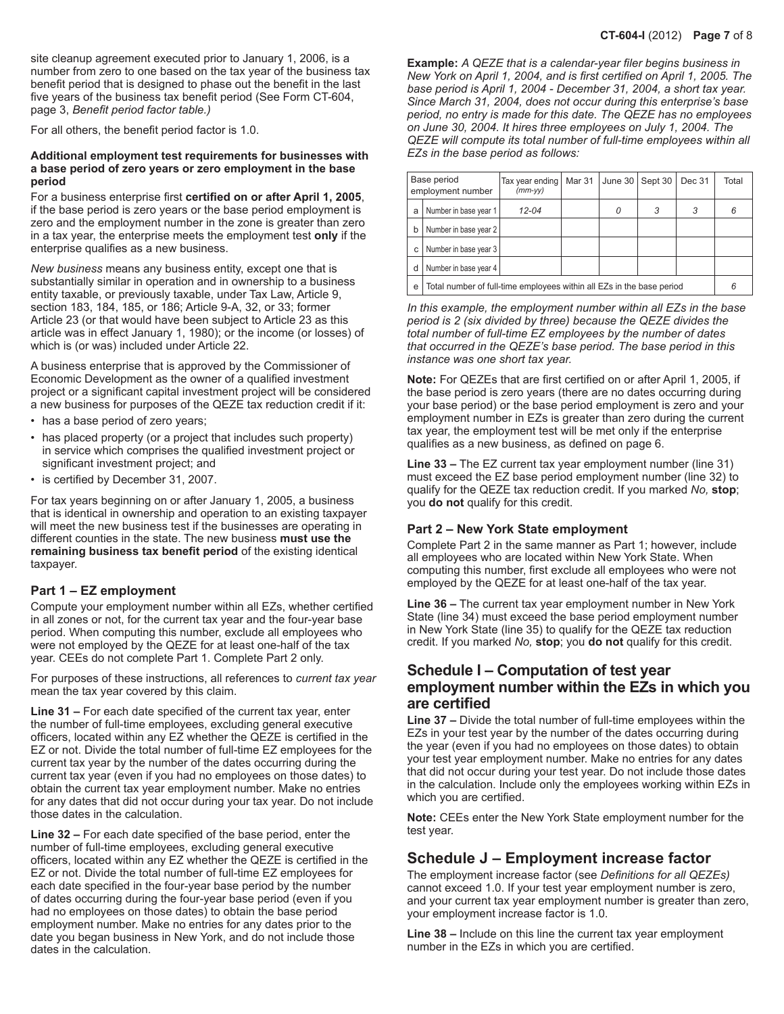site cleanup agreement executed prior to January 1, 2006, is a number from zero to one based on the tax year of the business tax benefit period that is designed to phase out the benefit in the last five years of the business tax benefit period (See Form CT-604, page 3, *Benefit period factor table.)*

For all others, the benefit period factor is 1.0.

#### **Additional employment test requirements for businesses with a base period of zero years or zero employment in the base period**

For a business enterprise first **certified on or after April 1, 2005**, if the base period is zero years or the base period employment is zero and the employment number in the zone is greater than zero in a tax year, the enterprise meets the employment test **only** if the enterprise qualifies as a new business.

*New business* means any business entity, except one that is substantially similar in operation and in ownership to a business entity taxable, or previously taxable, under Tax Law, Article 9, section 183, 184, 185, or 186; Article 9-A, 32, or 33; former Article 23 (or that would have been subject to Article 23 as this article was in effect January 1, 1980); or the income (or losses) of which is (or was) included under Article 22.

A business enterprise that is approved by the Commissioner of Economic Development as the owner of a qualified investment project or a significant capital investment project will be considered a new business for purposes of the QEZE tax reduction credit if it:

- has a base period of zero years;
- has placed property (or a project that includes such property) in service which comprises the qualified investment project or significant investment project; and
- is certified by December 31, 2007.

For tax years beginning on or after January 1, 2005, a business that is identical in ownership and operation to an existing taxpayer will meet the new business test if the businesses are operating in different counties in the state. The new business **must use the remaining business tax benefit period** of the existing identical taxpayer.

#### **Part 1 – EZ employment**

Compute your employment number within all EZs, whether certified in all zones or not, for the current tax year and the four-year base period. When computing this number, exclude all employees who were not employed by the QEZE for at least one-half of the tax year. CEEs do not complete Part 1. Complete Part 2 only.

For purposes of these instructions, all references to *current tax year*  mean the tax year covered by this claim.

**Line 31 –** For each date specified of the current tax year, enter the number of full-time employees, excluding general executive officers, located within any EZ whether the QEZE is certified in the EZ or not. Divide the total number of full-time EZ employees for the current tax year by the number of the dates occurring during the current tax year (even if you had no employees on those dates) to obtain the current tax year employment number. Make no entries for any dates that did not occur during your tax year. Do not include those dates in the calculation.

**Line 32 –** For each date specified of the base period, enter the number of full-time employees, excluding general executive officers, located within any EZ whether the QEZE is certified in the EZ or not. Divide the total number of full-time EZ employees for each date specified in the four-year base period by the number of dates occurring during the four-year base period (even if you had no employees on those dates) to obtain the base period employment number. Make no entries for any dates prior to the date you began business in New York, and do not include those dates in the calculation.

**Example:** *A QEZE that is a calendar-year filer begins business in New York on April 1, 2004, and is first certified on April 1, 2005. The base period is April 1, 2004 - December 31, 2004, a short tax year. Since March 31, 2004, does not occur during this enterprise's base period, no entry is made for this date. The QEZE has no employees on June 30, 2004. It hires three employees on July 1, 2004. The QEZE will compute its total number of full‑time employees within all EZs in the base period as follows:*

| Base period<br>employment number |                                                                       | Tax year ending<br>$(mm-vv)$ | Mar 31 | June $30$ | Sept 30 | Dec 31 | Total |
|----------------------------------|-----------------------------------------------------------------------|------------------------------|--------|-----------|---------|--------|-------|
| a                                | Number in base year 1                                                 | $12 - 04$                    |        |           | 3       | 3      |       |
| b                                | Number in base year 2                                                 |                              |        |           |         |        |       |
| С                                | Number in base year 3                                                 |                              |        |           |         |        |       |
|                                  | Number in base year 4                                                 |                              |        |           |         |        |       |
| e                                | Total number of full-time employees within all EZs in the base period |                              |        |           |         |        |       |

*In this example, the employment number within all EZs in the base period is 2 (six divided by three) because the QEZE divides the total number of full-time EZ employees by the number of dates that occurred in the QEZE's base period. The base period in this instance was one short tax year.*

**Note:** For QEZEs that are first certified on or after April 1, 2005, if the base period is zero years (there are no dates occurring during your base period) or the base period employment is zero and your employment number in EZs is greater than zero during the current tax year, the employment test will be met only if the enterprise qualifies as a new business, as defined on page 6.

**Line 33 –** The EZ current tax year employment number (line 31) must exceed the EZ base period employment number (line 32) to qualify for the QEZE tax reduction credit. If you marked *No,* **stop**; you **do not** qualify for this credit.

#### **Part 2 – New York State employment**

Complete Part 2 in the same manner as Part 1; however, include all employees who are located within New York State. When computing this number, first exclude all employees who were not employed by the QEZE for at least one-half of the tax year.

**Line 36 –** The current tax year employment number in New York State (line 34) must exceed the base period employment number in New York State (line 35) to qualify for the QEZE tax reduction credit. If you marked *No,* **stop**; you **do not** qualify for this credit.

## **Schedule I – Computation of test year employment number within the EZs in which you are certified**

**Line 37 –** Divide the total number of full-time employees within the EZs in your test year by the number of the dates occurring during the year (even if you had no employees on those dates) to obtain your test year employment number. Make no entries for any dates that did not occur during your test year. Do not include those dates in the calculation. Include only the employees working within EZs in which you are certified.

**Note:** CEEs enter the New York State employment number for the test year.

### **Schedule J – Employment increase factor**

The employment increase factor (see *Definitions for all QEZEs)*  cannot exceed 1.0. If your test year employment number is zero, and your current tax year employment number is greater than zero, your employment increase factor is 1.0.

**Line 38 –** Include on this line the current tax year employment number in the EZs in which you are certified.